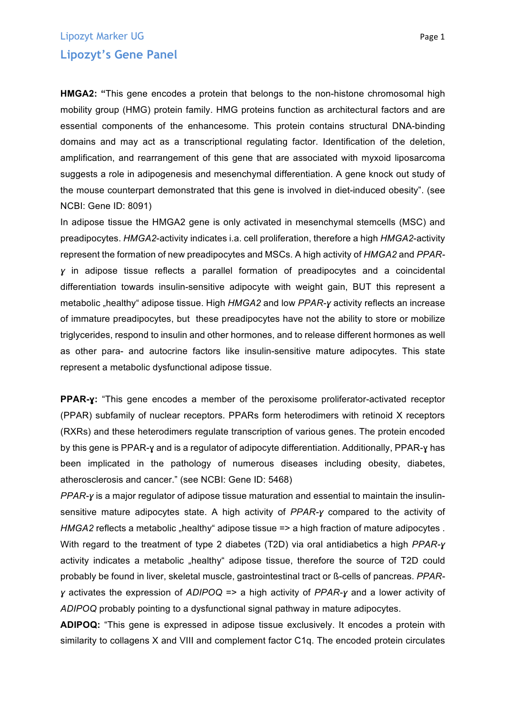## Lipozyt Marker UG **Page 1 Lipozyt's Gene Panel**

**HMGA2: "**This gene encodes a protein that belongs to the non-histone chromosomal high mobility group (HMG) protein family. HMG proteins function as architectural factors and are essential components of the enhancesome. This protein contains structural DNA-binding domains and may act as a transcriptional regulating factor. Identification of the deletion, amplification, and rearrangement of this gene that are associated with myxoid liposarcoma suggests a role in adipogenesis and mesenchymal differentiation. A gene knock out study of the mouse counterpart demonstrated that this gene is involved in diet-induced obesity". (see NCBI: Gene ID: 8091)

In adipose tissue the HMGA2 gene is only activated in mesenchymal stemcells (MSC) and preadipocytes. *HMGA2*-activity indicates i.a. cell proliferation, therefore a high *HMGA2*-activity represent the formation of new preadipocytes and MSCs. A high activity of *HMGA2* and *PPARɣ* in adipose tissue reflects a parallel formation of preadipocytes and a coincidental differentiation towards insulin-sensitive adipocyte with weight gain, BUT this represent a metabolic "healthy" adipose tissue. High *HMGA2* and low *PPAR-y* activity reflects an increase of immature preadipocytes, but these preadipocytes have not the ability to store or mobilize triglycerides, respond to insulin and other hormones, and to release different hormones as well as other para- and autocrine factors like insulin-sensitive mature adipocytes. This state represent a metabolic dysfunctional adipose tissue.

**PPAR-ɣ:** "This gene encodes a member of the peroxisome proliferator-activated receptor (PPAR) subfamily of nuclear receptors. PPARs form heterodimers with retinoid X receptors (RXRs) and these heterodimers regulate transcription of various genes. The protein encoded by this gene is PPAR-ɣ and is a regulator of adipocyte differentiation. Additionally, PPAR-ɣ has been implicated in the pathology of numerous diseases including obesity, diabetes, atherosclerosis and cancer." (see NCBI: Gene ID: 5468)

*PPAR-ɣ* is a major regulator of adipose tissue maturation and essential to maintain the insulinsensitive mature adipocytes state. A high activity of *PPAR-ɣ* compared to the activity of *HMGA2* reflects a metabolic "healthy" adipose tissue => a high fraction of mature adipocytes . With regard to the treatment of type 2 diabetes (T2D) via oral antidiabetics a high *PPAR-ɣ* activity indicates a metabolic "healthy" adipose tissue, therefore the source of T2D could probably be found in liver, skeletal muscle, gastrointestinal tract or ß-cells of pancreas. *PPARɣ* activates the expression of *ADIPOQ* => a high activity of *PPAR-ɣ* and a lower activity of *ADIPOQ* probably pointing to a dysfunctional signal pathway in mature adipocytes.

**ADIPOQ:** "This gene is expressed in adipose tissue exclusively. It encodes a protein with similarity to collagens X and VIII and complement factor C1q. The encoded protein circulates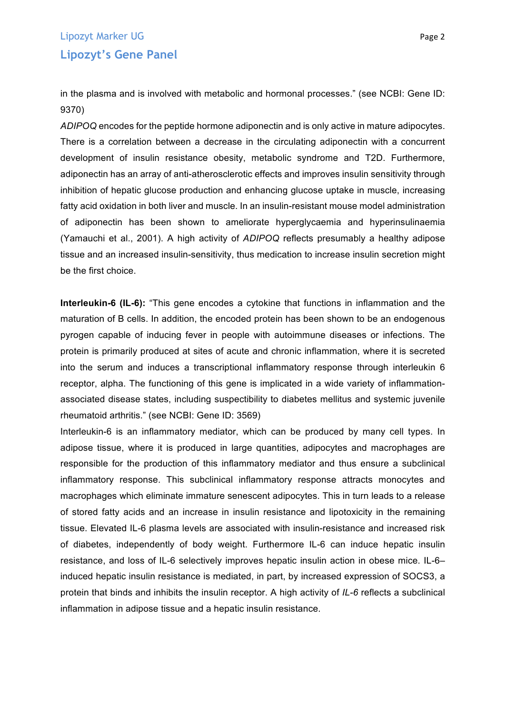## Lipozyt Marker UG **Page 2 Lipozyt's Gene Panel**

in the plasma and is involved with metabolic and hormonal processes." (see NCBI: Gene ID: 9370)

*ADIPOQ* encodes for the peptide hormone adiponectin and is only active in mature adipocytes. There is a correlation between a decrease in the circulating adiponectin with a concurrent development of insulin resistance obesity, metabolic syndrome and T2D. Furthermore, adiponectin has an array of anti-atherosclerotic effects and improves insulin sensitivity through inhibition of hepatic glucose production and enhancing glucose uptake in muscle, increasing fatty acid oxidation in both liver and muscle. In an insulin-resistant mouse model administration of adiponectin has been shown to ameliorate hyperglycaemia and hyperinsulinaemia (Yamauchi et al., 2001). A high activity of *ADIPOQ* reflects presumably a healthy adipose tissue and an increased insulin-sensitivity, thus medication to increase insulin secretion might be the first choice.

**Interleukin-6 (IL-6):** "This gene encodes a cytokine that functions in inflammation and the maturation of B cells. In addition, the encoded protein has been shown to be an endogenous pyrogen capable of inducing fever in people with autoimmune diseases or infections. The protein is primarily produced at sites of acute and chronic inflammation, where it is secreted into the serum and induces a transcriptional inflammatory response through interleukin 6 receptor, alpha. The functioning of this gene is implicated in a wide variety of inflammationassociated disease states, including suspectibility to diabetes mellitus and systemic juvenile rheumatoid arthritis." (see NCBI: Gene ID: 3569)

Interleukin-6 is an inflammatory mediator, which can be produced by many cell types. In adipose tissue, where it is produced in large quantities, adipocytes and macrophages are responsible for the production of this inflammatory mediator and thus ensure a subclinical inflammatory response. This subclinical inflammatory response attracts monocytes and macrophages which eliminate immature senescent adipocytes. This in turn leads to a release of stored fatty acids and an increase in insulin resistance and lipotoxicity in the remaining tissue. Elevated IL-6 plasma levels are associated with insulin-resistance and increased risk of diabetes, independently of body weight. Furthermore IL-6 can induce hepatic insulin resistance, and loss of IL-6 selectively improves hepatic insulin action in obese mice. IL-6– induced hepatic insulin resistance is mediated, in part, by increased expression of SOCS3, a protein that binds and inhibits the insulin receptor. A high activity of *IL-6* reflects a subclinical inflammation in adipose tissue and a hepatic insulin resistance.